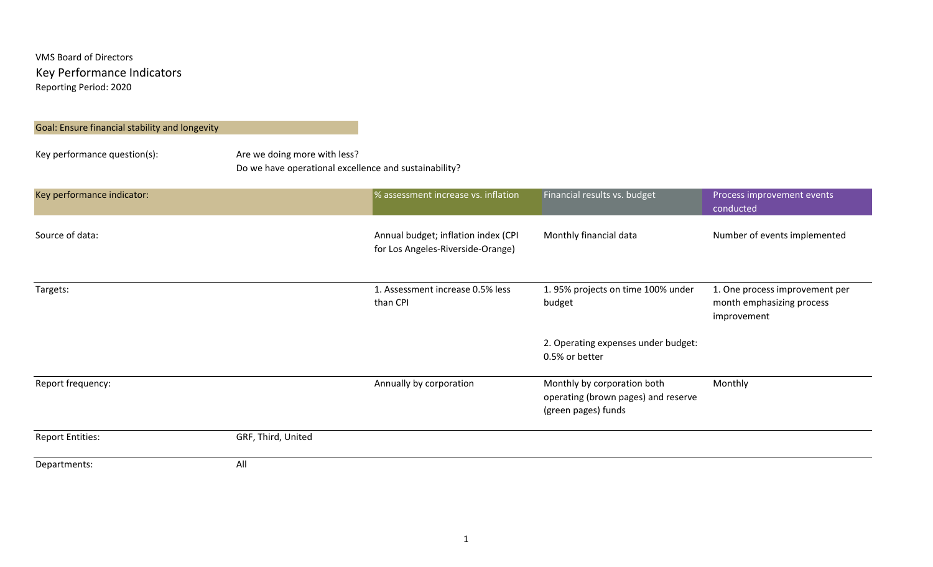## Goal: Ensure financial stability and longevity

# Key performance question(s): Are we doing more with less? Do we have operational excellence and sustainability?

| Key performance indicator: |                    | % assessment increase vs. inflation                                      | Financial results vs. budget                                                              | Process improvement events<br>conducted                                    |
|----------------------------|--------------------|--------------------------------------------------------------------------|-------------------------------------------------------------------------------------------|----------------------------------------------------------------------------|
| Source of data:            |                    | Annual budget; inflation index (CPI<br>for Los Angeles-Riverside-Orange) | Monthly financial data                                                                    | Number of events implemented                                               |
| Targets:                   |                    | 1. Assessment increase 0.5% less<br>than CPI                             | 1.95% projects on time 100% under<br>budget                                               | 1. One process improvement per<br>month emphasizing process<br>improvement |
|                            |                    |                                                                          | 2. Operating expenses under budget:<br>0.5% or better                                     |                                                                            |
| Report frequency:          |                    | Annually by corporation                                                  | Monthly by corporation both<br>operating (brown pages) and reserve<br>(green pages) funds | Monthly                                                                    |
| <b>Report Entities:</b>    | GRF, Third, United |                                                                          |                                                                                           |                                                                            |
| Departments:               | All                |                                                                          |                                                                                           |                                                                            |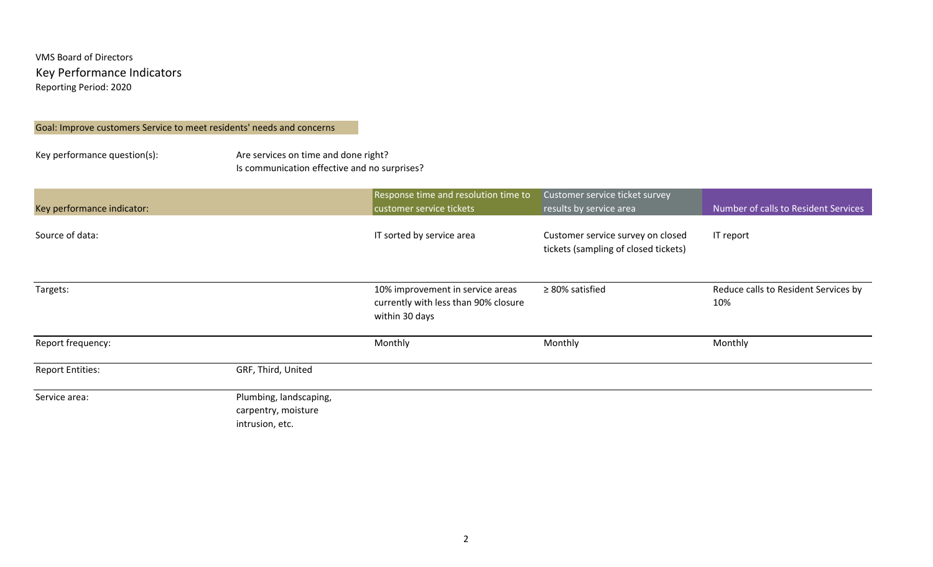#### Goal: Improve customers Service to meet residents' needs and concerns

Key performance question(s): Are services on time and done right? Is communication effective and no surprises?

| Key performance indicator: |                                                                  | Response time and resolution time to<br>customer service tickets                           | Customer service ticket survey<br>results by service area                 | Number of calls to Resident Services        |
|----------------------------|------------------------------------------------------------------|--------------------------------------------------------------------------------------------|---------------------------------------------------------------------------|---------------------------------------------|
| Source of data:            |                                                                  | IT sorted by service area                                                                  | Customer service survey on closed<br>tickets (sampling of closed tickets) | IT report                                   |
| Targets:                   |                                                                  | 10% improvement in service areas<br>currently with less than 90% closure<br>within 30 days | $\geq$ 80% satisfied                                                      | Reduce calls to Resident Services by<br>10% |
| Report frequency:          |                                                                  | Monthly                                                                                    | Monthly                                                                   | Monthly                                     |
| <b>Report Entities:</b>    | GRF, Third, United                                               |                                                                                            |                                                                           |                                             |
| Service area:              | Plumbing, landscaping,<br>carpentry, moisture<br>intrusion, etc. |                                                                                            |                                                                           |                                             |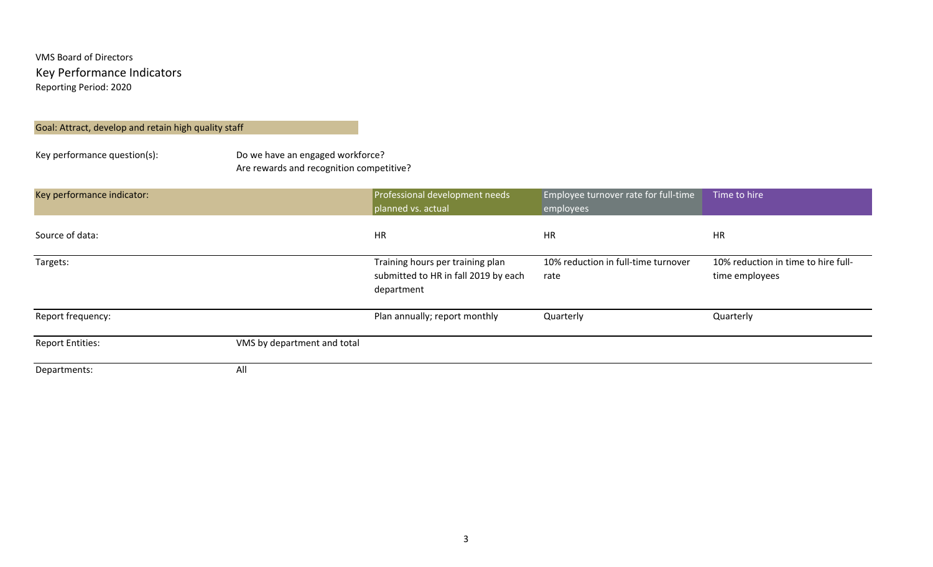### Goal: Attract, develop and retain high quality staff

Key performance question(s): Do we have an engaged workforce? Are rewards and recognition competitive?

| Key performance indicator: |                             | Professional development needs<br>planned vs. actual                                   | Employee turnover rate for full-time<br>employees | Time to hire                                          |
|----------------------------|-----------------------------|----------------------------------------------------------------------------------------|---------------------------------------------------|-------------------------------------------------------|
| Source of data:            |                             | <b>HR</b>                                                                              | <b>HR</b>                                         | HR                                                    |
| Targets:                   |                             | Training hours per training plan<br>submitted to HR in fall 2019 by each<br>department | 10% reduction in full-time turnover<br>rate       | 10% reduction in time to hire full-<br>time employees |
| Report frequency:          |                             | Plan annually; report monthly                                                          | Quarterly                                         | Quarterly                                             |
| <b>Report Entities:</b>    | VMS by department and total |                                                                                        |                                                   |                                                       |
| Departments:               | All                         |                                                                                        |                                                   |                                                       |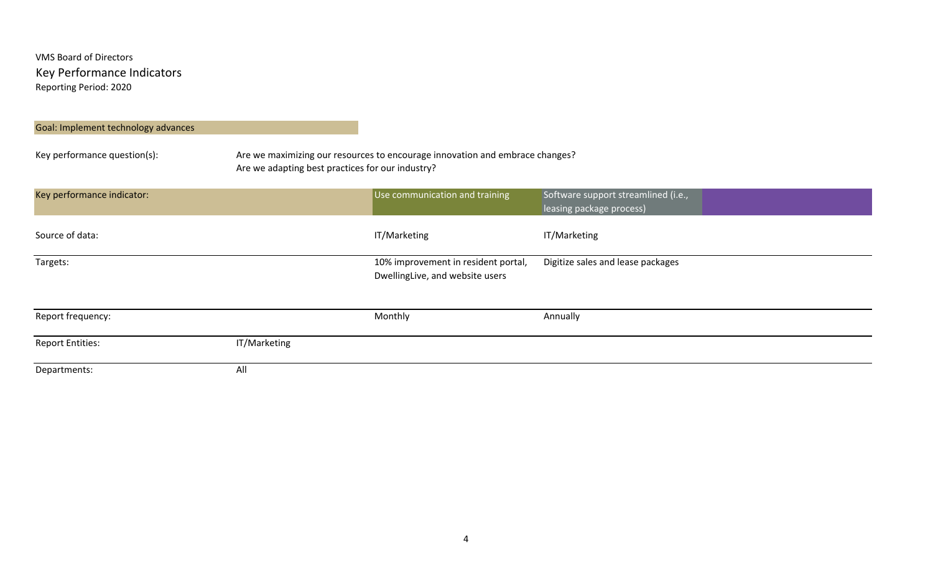#### Goal: Implement technology advances

Key performance question(s): Are we maximizing our resources to encourage innovation and embrace changes? Are we adapting best practices for our industry?

| Key performance indicator: |              | Use communication and training                                         | Software support streamlined (i.e.,<br>leasing package process) |
|----------------------------|--------------|------------------------------------------------------------------------|-----------------------------------------------------------------|
| Source of data:            |              | IT/Marketing                                                           | IT/Marketing                                                    |
| Targets:                   |              | 10% improvement in resident portal,<br>DwellingLive, and website users | Digitize sales and lease packages                               |
| Report frequency:          |              | Monthly                                                                | Annually                                                        |
| <b>Report Entities:</b>    | IT/Marketing |                                                                        |                                                                 |
| Departments:               | All          |                                                                        |                                                                 |